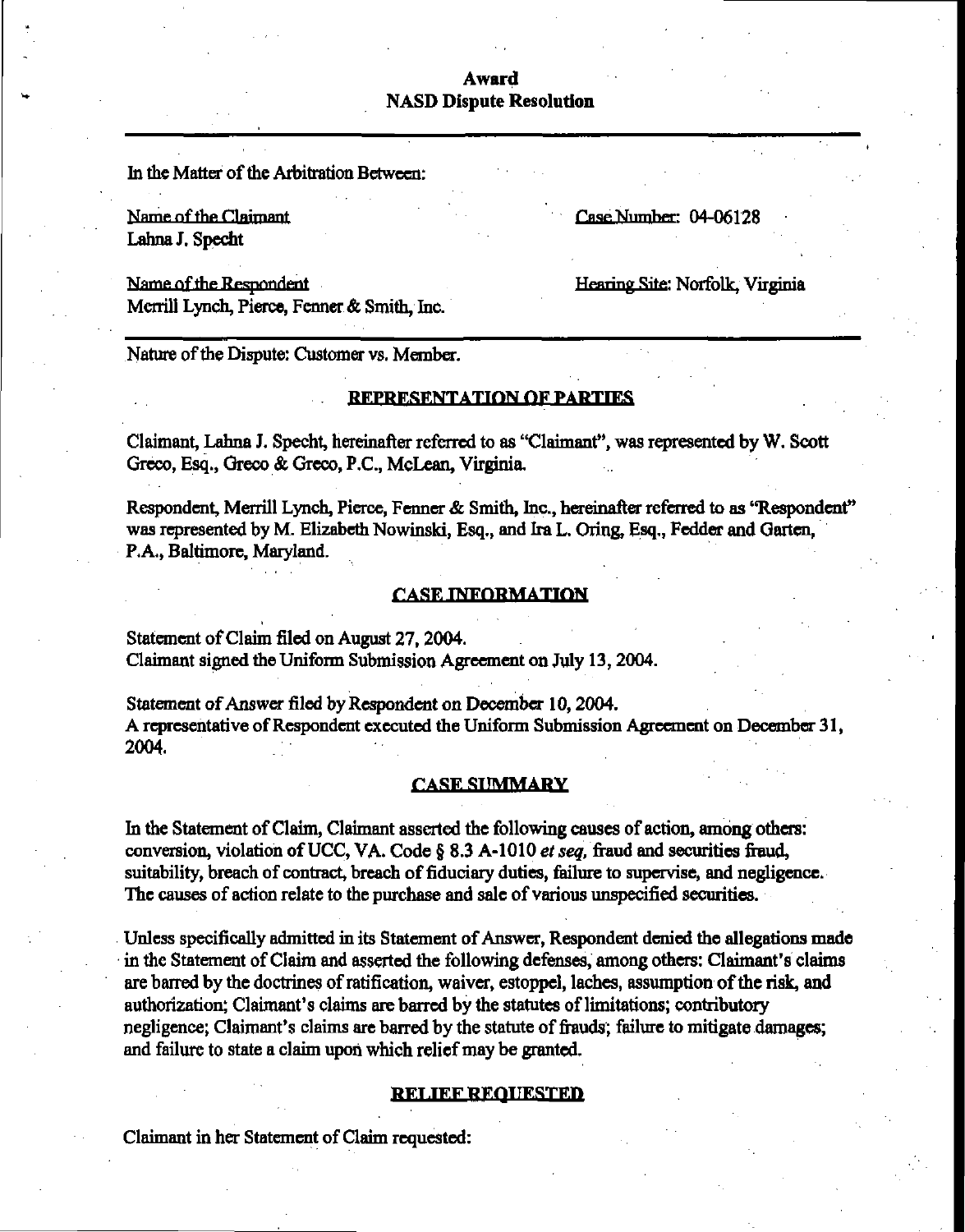# Award NASD Dispute Resolution

In the Matter of the Arbitration Between:

Name of the Claimant Case Number: 04-06128 Lahna J. Specht

Name of the Respondent Merrill Lynch, Pierce, Fenner& Smith, Inc. Henring Site; Norfolk, Virginia

Nature of the Dispute: Customer vs. Member.

## **REPRESENTATION OF PARTIES**

Claimant, Lahna J. Specht, hereinafter referred to as "Claimant", was represented by W. Scott Greco, Esq., Greco & Greco, P.C., McLean, Virginia,

Respondent, Merrill Lynch, Pierce, Fenner & Smith, Inc., hereinafter referred to as "Respondent" was represented by M. Elizabeth Nowinski, Esq., and Ira L. Oring, Esq., Fedder and Garten, P.A., Baltimore, Maryland.

#### **CASE INFORMATION**

Statement of Claim filed on August 27, 2004. Claimant signed the Uniform Submission Agreement on July 13, 2004.

Statement of Answer filed by Respondent on December 10, 2004. A representative of Respondent executed the Uniform Submission Agreement on December 31, 2004.

## **CASE SUMMARY**

In the Statement of Claim, Claimant asserted the following causes of action, among others: conversion, violation of UCC, VA. Code  $\S$  8.3 A-1010 *et seq*, fraud and securities fraud, suitability, breach of contract, breach of fiduciary duties, failure to supervise, and negligence. The causes of action relate to the purchase and sale of various unspecified securities.

Unless specifically admitted in its Statement of Answer, Respondent denied the allegations made in the Statement of Claim and asserted the following defenses, among others: Claimant's claims are barred by the doctrines of ratification, waiver, estoppel, laches, assumption of the risk, and authorization; Claimant's claims are barred by the statutes of limitations; contributory negligence; Claimant's claims are barred by the statute of frauds; failure to mitigate damages; and failure to state a claim upon which relief may be granted.

#### **RELIEF REQUESTED**

Claimant in her Statement of Claim requested: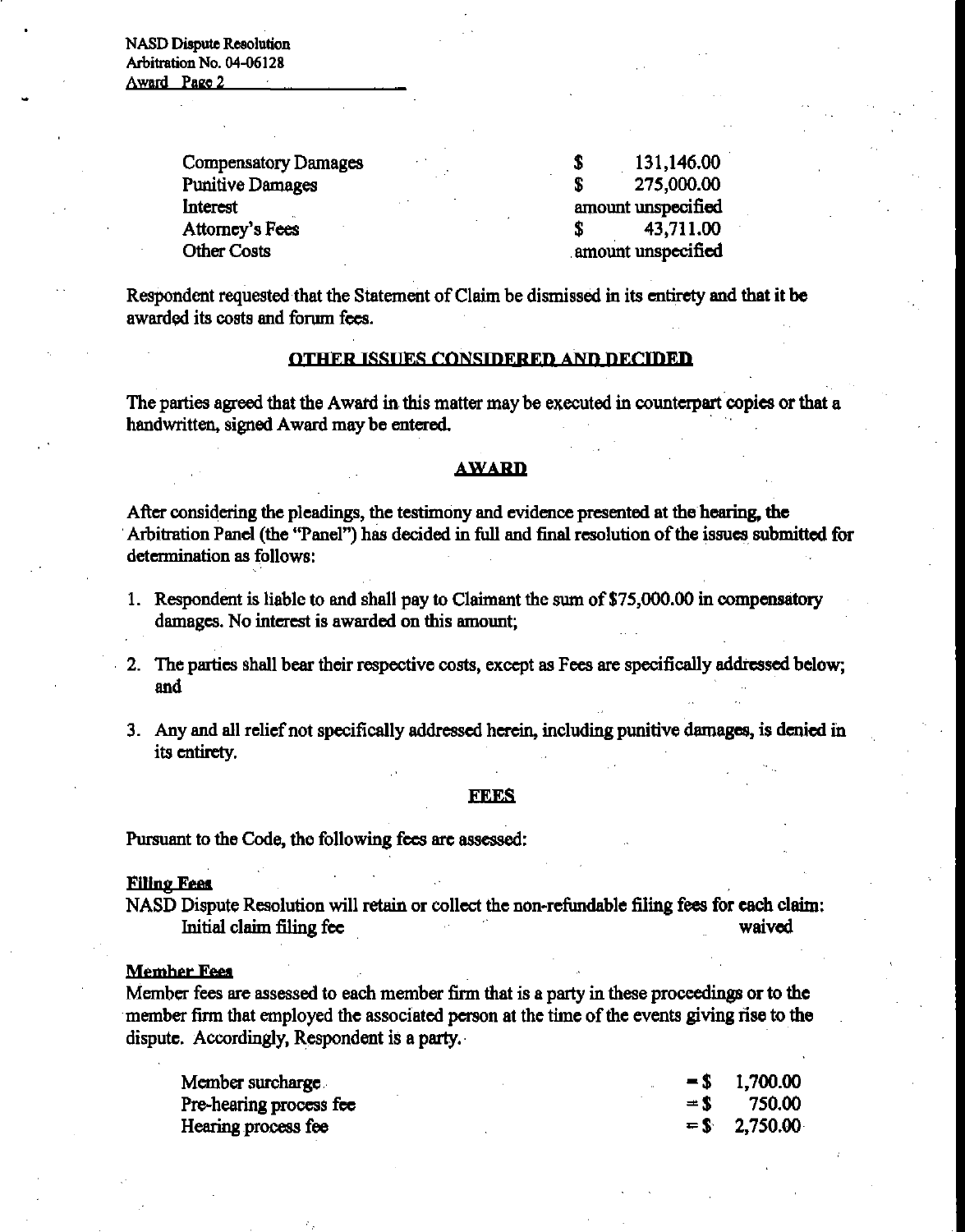NASD Dispute Resolution Arbitration No. 04-06128 Award Page 2

> Compensatory Damages  $\qquad \qquad$  \$ . 131,146.00 Punitive Damages \$ 275,000.00 Interest amount unspecified Attorney's Fees \$ 43,711.00

> Other Costs amount unspecified

Respondent requested that the Statement of Claim be dismissed in its entirety and that it be awarded its costs and forum fees.

## OTHER ISSUES CONSIDERED AND DECIDED

The parties agreed that the Award in this matter may be executed in counterpart copies or that a handwritten, signed Award may be entered,

# **AWARD**

After considering the pleadings, the testimony and evidence presented at the hearing, the Arbitration Panel (the "Panel") has decided in full and final resolution of the issues submitted for determination as follows:

- 1 . Respondent is liable to and shall pay to Claimant the sum of \$75,000.00 in compensatory damages. No interest is awarded on this amount;
- 2. The parties shall bear their respective costs, except as Fees are specifically addressed below; and
- 3. Any and all relief not specifically addressed herein, including punitive damages, is denied in its entirety.

#### **FEES**

Pursuant to the Code, the following fees are assessed:

#### **Filing Fees**

NASD Dispute Resolution will retain or collect the non-refundable filing fees for each claim: Initial claim filing fee waived

#### **Member Fees**

Member fees are assessed to each member firm that is a party in these proceedings or to the member firm that employed the associated person at the time of the events giving rise to the dispute. Accordingly, Respondent is a party.

| Member surcharge        |  | $=$ \$ 1,700.00 |
|-------------------------|--|-----------------|
| Pre-hearing process fee |  | $=$ \$ 750.00   |
| Hearing process fee     |  | $=$ \$ 2,750.00 |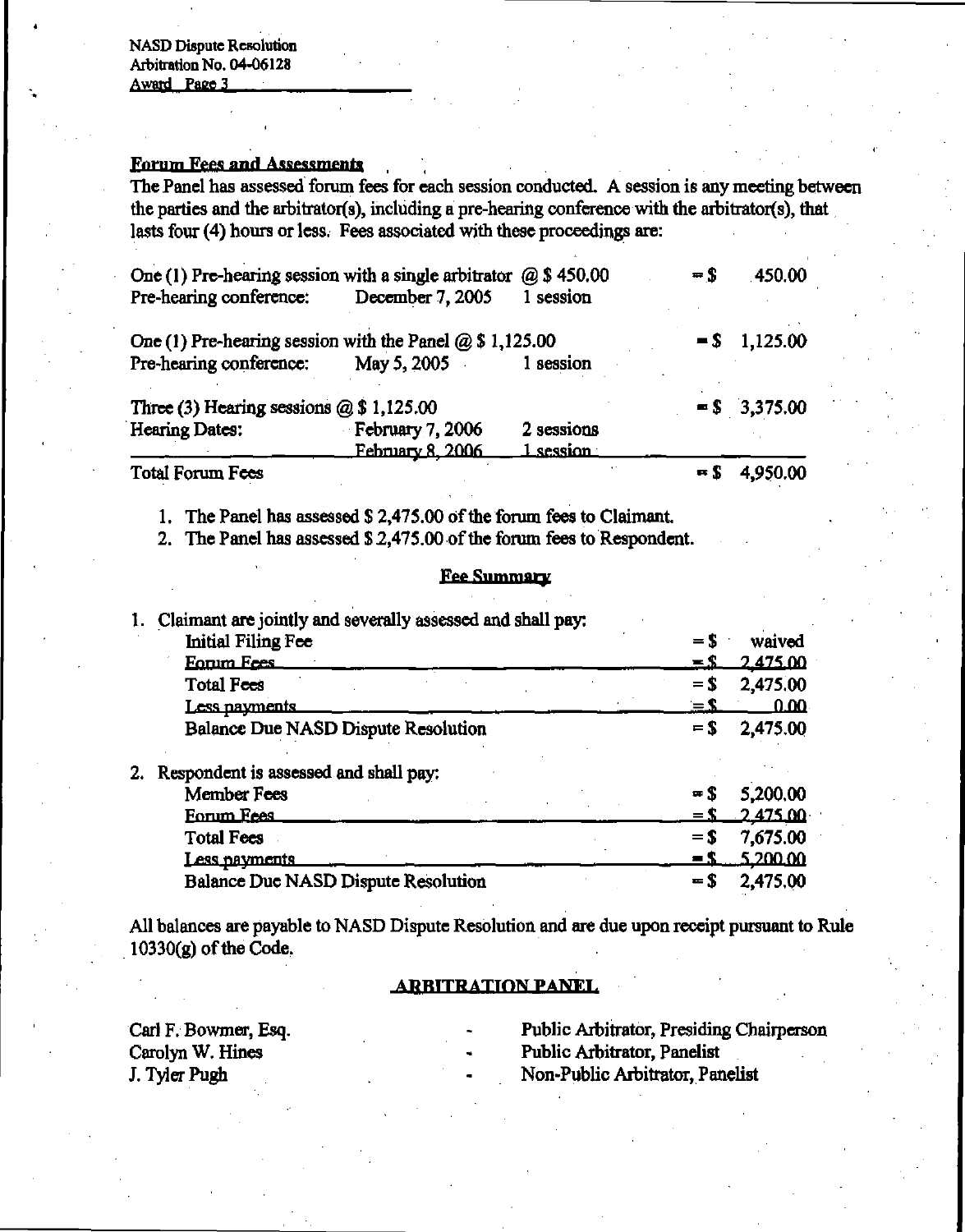NASD Dispute Resolution Arbitration No. 04-06128 Award Page 3

# Forum Fees and Assessments

The Panel has assessed forum fees for each session conducted. A session is any meeting between the parties and the arbitrator(s), including a pre-hearing conference with the arbitrator(s), that lasts four (4) hours or less. Fees associated with these proceedings are:

| One (1) Pre-hearing session with a single arbitrator    | $=$ \$                  | 450.00     |                  |                 |
|---------------------------------------------------------|-------------------------|------------|------------------|-----------------|
| Pre-hearing conference:                                 | December 7, 2005        | 1 session  |                  |                 |
| One (1) Pre-hearing session with the Panel $@$1,125.00$ |                         |            |                  | $=$ \$ 1,125.00 |
| Pre-hearing conference:                                 | May 5, 2005             | 1 session  |                  |                 |
| Three (3) Hearing sessions $(2)$ \$ 1,125.00            |                         |            |                  | $=$ \$ 3,375.00 |
| Hearing Dates:                                          | <b>February 7, 2006</b> | 2 sessions |                  |                 |
|                                                         | February 8, 2006        | 1 session  |                  |                 |
| Total Forum Fees                                        |                         |            | $\blacksquare$ S | 4,950.00        |

1. The Panel has assessed \$ 2,475.00 of the forum fees to Claimant.

2. The Panel has assessed \$2,475.00 of the forum fees to Respondent.

## Fee Summary

|  | Claimant are jointly and severally assessed and shall pay: |                  |             |
|--|------------------------------------------------------------|------------------|-------------|
|  | Initial Filing Fee                                         | $=$ S            | waived      |
|  | <b>Eorum Fees</b>                                          | $\equiv$ S       | 2.475.00    |
|  | Total Fees                                                 | $=$ S            | 2,475.00    |
|  | Less payments                                              | <u>= 1</u>       | <u>0.00</u> |
|  | Balance Due NASD Dispute Resolution                        | $=$ \$           | 2,475.00    |
|  | Respondent is assessed and shall pay:                      |                  |             |
|  | <b>Member Fees</b>                                         | $\blacksquare$ S | 5,200.00    |
|  | Forum Fees                                                 | $=$ S            | 2.475.00    |
|  | <b>Total Fees</b>                                          | $=$ S            | 7,675.00    |
|  | <u>Less nayments</u>                                       | $\blacksquare$   | 5.200.00    |
|  | <b>Balance Due NASD Dispute Resolution</b>                 | $=$ S            | 2,475,00    |

All balances are payable to NASD Dispute Resolution and are due upon receipt pursuant to Rule 10330(g) of the Code.

# **ARBITRATION PANEL**

Carl F. Bowmer, Esq. - Public Arbitrator, Presiding Chairperson

- 
- Public Arbitrator, Panelist
- J. Tyler Pugh **Non-Public Arbitrator**, Panelist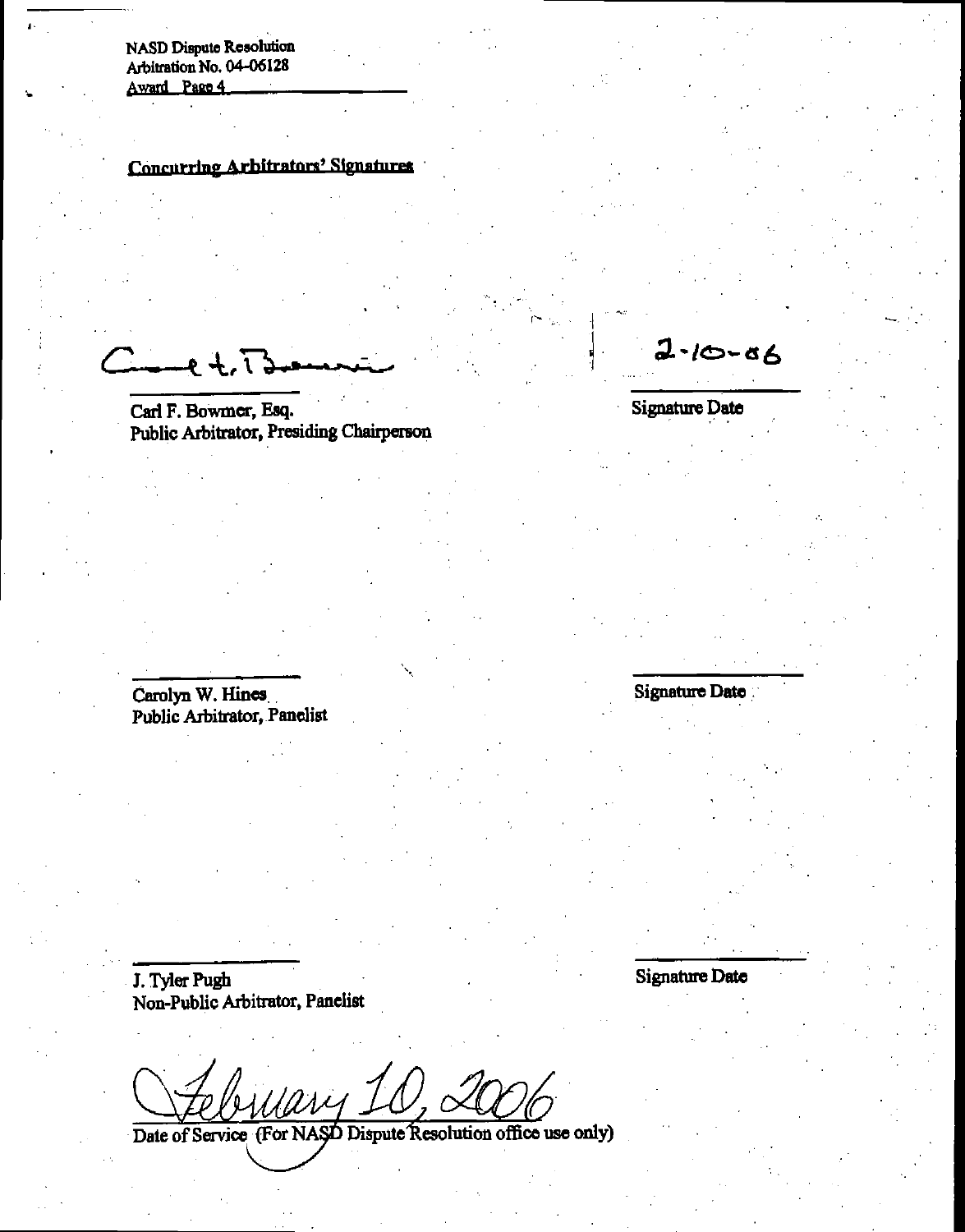NASD Dispute Resolution Arbitration No. 04-06128 Award Page 4

# Concurring Arbitrators' Signatures

 $2 + 13$ 

Carl F. Bowmer, Esq. Public Arbitrator, Presiding Chairperson

Carolyn W. Hines Public Arbitrator, Panelist

J. Tyler Pugh Non-Public Arbitrator, Panelist

Mary Ic

Date of Service (For NASD Dispute Resolution office use only)

 $2 - 10 - 86$ 

Signature Date

Signature Date

Signature Date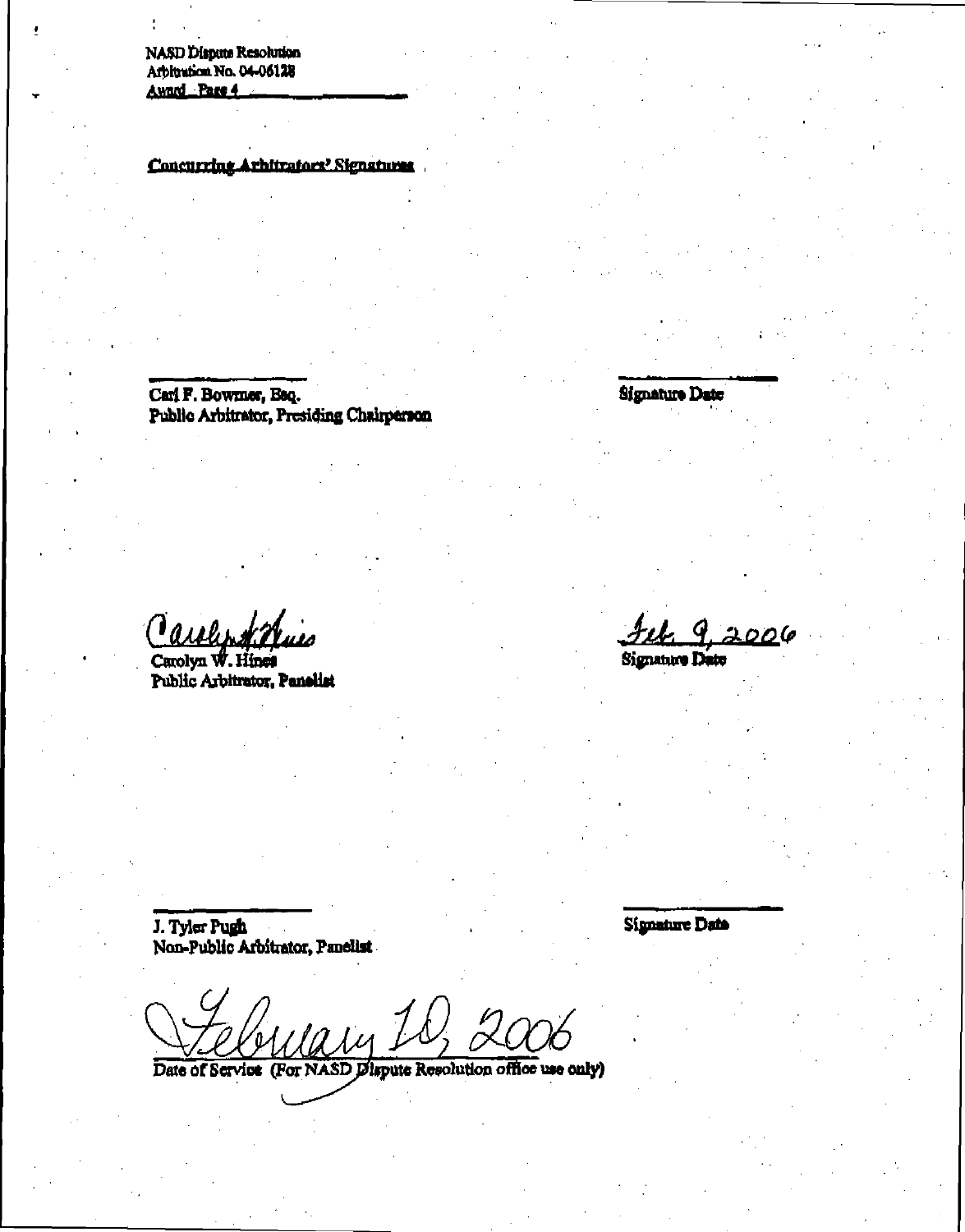NASD Dispute Resolution<br>Arbitration No. 04-06128<br>Award Pare 4

**Concurring Arhitrators' Signatures** 

Carl F.Bowmer, Esq. Public Arbitrator, Presiding Chairperson **Signature Date** 

Tarely 2

Carolyn W. Hines Public Arbitrator, Panelist

2006

Signature Date

J. Tyler Pugh Non-Publio Arbitrator, Panelist Signature Date

uain.

Date of Service (For NASD Dispute Resolution office use only)